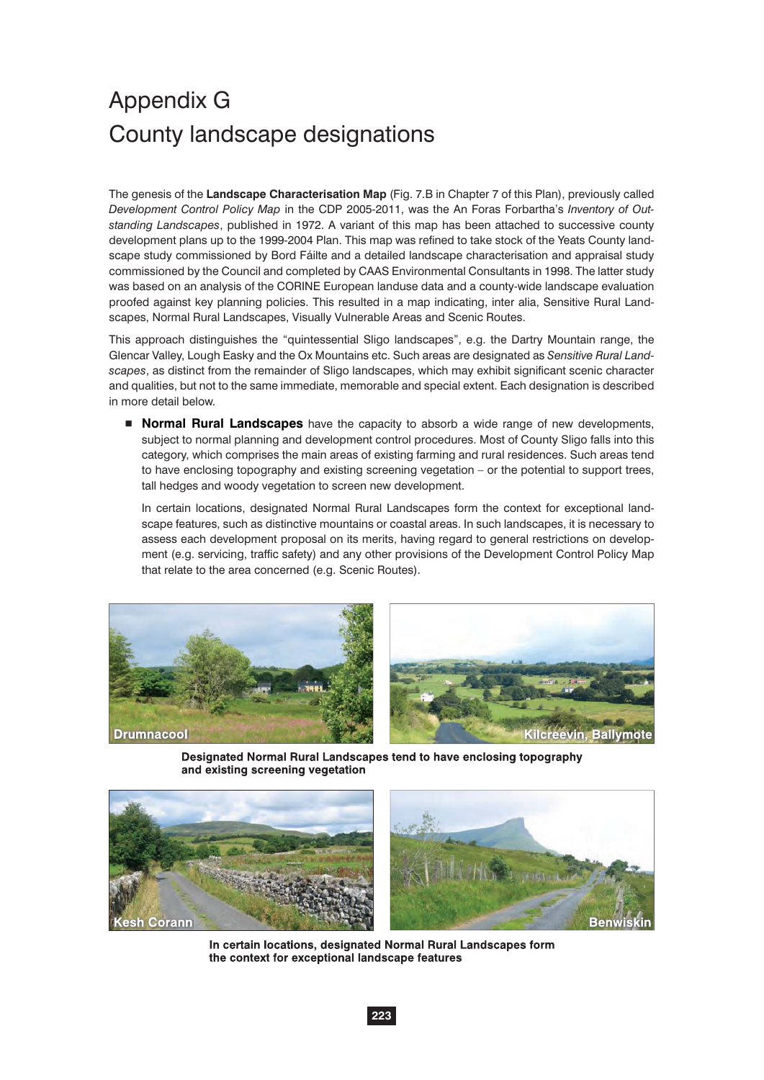# Appendix G County landscape designations

The genesis of the **Landscape Characterisation Map** (Fig. 7.B in Chapter 7 of this Plan), previously called *Development Control Policy Map* in the CDP 2005-2011, was the An Foras Forbartha's *Inventory of Outstanding Landscapes*, published in 1972. A variant of this map has been attached to successive county development plans up to the 1999-2004 Plan. This map was refined to take stock of the Yeats County landscape study commissioned by Bord Fáilte and a detailed landscape characterisation and appraisal study commissioned by the Council and completed by CAAS Environmental Consultants in 1998. The latter study was based on an analysis of the CORINE European landuse data and a county-wide landscape evaluation proofed against key planning policies. This resulted in a map indicating, inter alia, Sensitive Rural Landscapes, Normal Rural Landscapes, Visually Vulnerable Areas and Scenic Routes.

This approach distinguishes the "quintessential Sligo landscapes", e.g. the Dartry Mountain range, the Glencar Valley, Lough Easky and the Ox Mountains etc. Such areas are designated as *Sensitive Rural Landscapes*, as distinct from the remainder of Sligo landscapes, which may exhibit significant scenic character and qualities, but not to the same immediate, memorable and special extent. Each designation is described in more detail below.

**Normal Rural Landscapes** have the capacity to absorb a wide range of new developments, subject to normal planning and development control procedures. Most of County Sligo falls into this category, which comprises the main areas of existing farming and rural residences. Such areas tend to have enclosing topography and existing screening vegetation – or the potential to support trees, tall hedges and woody vegetation to screen new development.

In certain locations, designated Normal Rural Landscapes form the context for exceptional landscape features, such as distinctive mountains or coastal areas. In such landscapes, it is necessary to assess each development proposal on its merits, having regard to general restrictions on development (e.g. servicing, traffic safety) and any other provisions of the Development Control Policy Map that relate to the area concerned (e.g. Scenic Routes).



Designated Normal Rural Landscapes tend to have enclosing topography and existing screening vegetation



In certain locations, designated Normal Rural Landscapes form the context for exceptional landscape features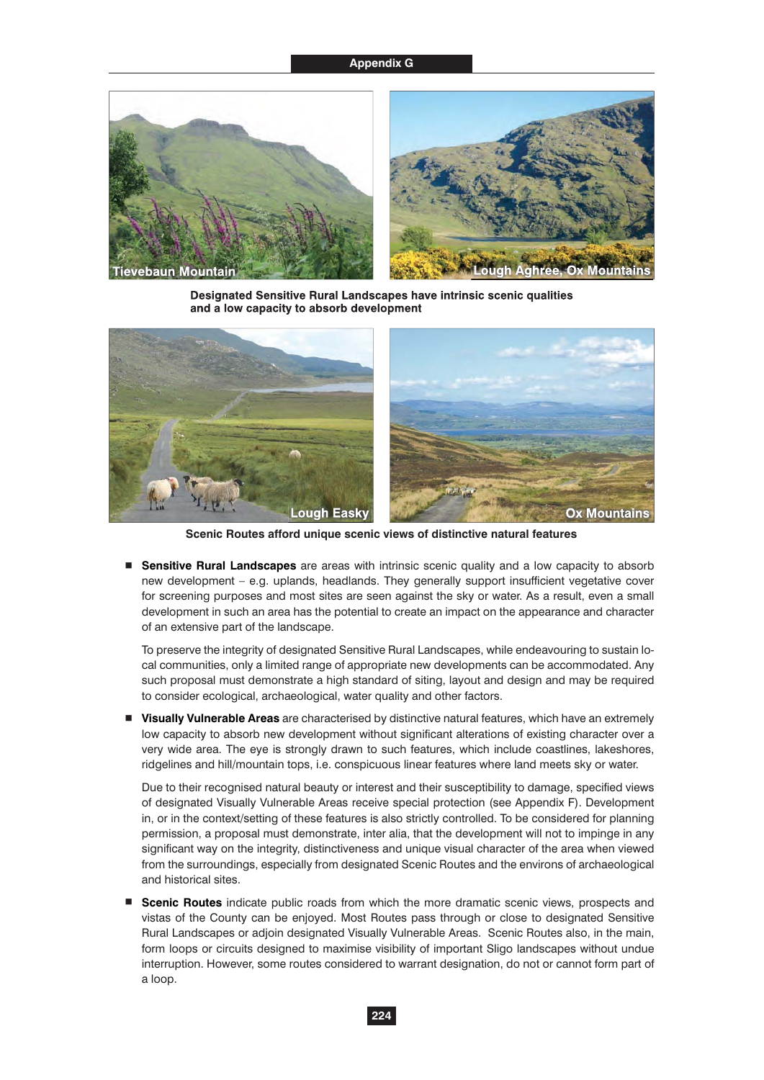## **Appendix G**



Designated Sensitive Rural Landscapes have intrinsic scenic qualities and a low capacity to absorb development



**Scenic Routes afford unique scenic views of distinctive natural features**

- **Sensitive Rural Landscapes** are areas with intrinsic scenic quality and a low capacity to absorb new development – e.g. uplands, headlands. They generally support insufficient vegetative cover for screening purposes and most sites are seen against the sky or water. As a result, even a small development in such an area has the potential to create an impact on the appearance and character of an extensive part of the landscape.

To preserve the integrity of designated Sensitive Rural Landscapes, while endeavouring to sustain local communities, only a limited range of appropriate new developments can be accommodated. Any such proposal must demonstrate a high standard of siting, layout and design and may be required to consider ecological, archaeological, water quality and other factors.

**T** Visually Vulnerable Areas are characterised by distinctive natural features, which have an extremely low capacity to absorb new development without significant alterations of existing character over a very wide area. The eye is strongly drawn to such features, which include coastlines, lakeshores, ridgelines and hill/mountain tops, i.e. conspicuous linear features where land meets sky or water.

Due to their recognised natural beauty or interest and their susceptibility to damage, specified views of designated Visually Vulnerable Areas receive special protection (see Appendix F). Development in, or in the context/setting of these features is also strictly controlled. To be considered for planning permission, a proposal must demonstrate, inter alia, that the development will not to impinge in any significant way on the integrity, distinctiveness and unique visual character of the area when viewed from the surroundings, especially from designated Scenic Routes and the environs of archaeological and historical sites.

**E** Scenic Routes indicate public roads from which the more dramatic scenic views, prospects and vistas of the County can be enjoyed. Most Routes pass through or close to designated Sensitive Rural Landscapes or adjoin designated Visually Vulnerable Areas. Scenic Routes also, in the main, form loops or circuits designed to maximise visibility of important Sligo landscapes without undue interruption. However, some routes considered to warrant designation, do not or cannot form part of a loop.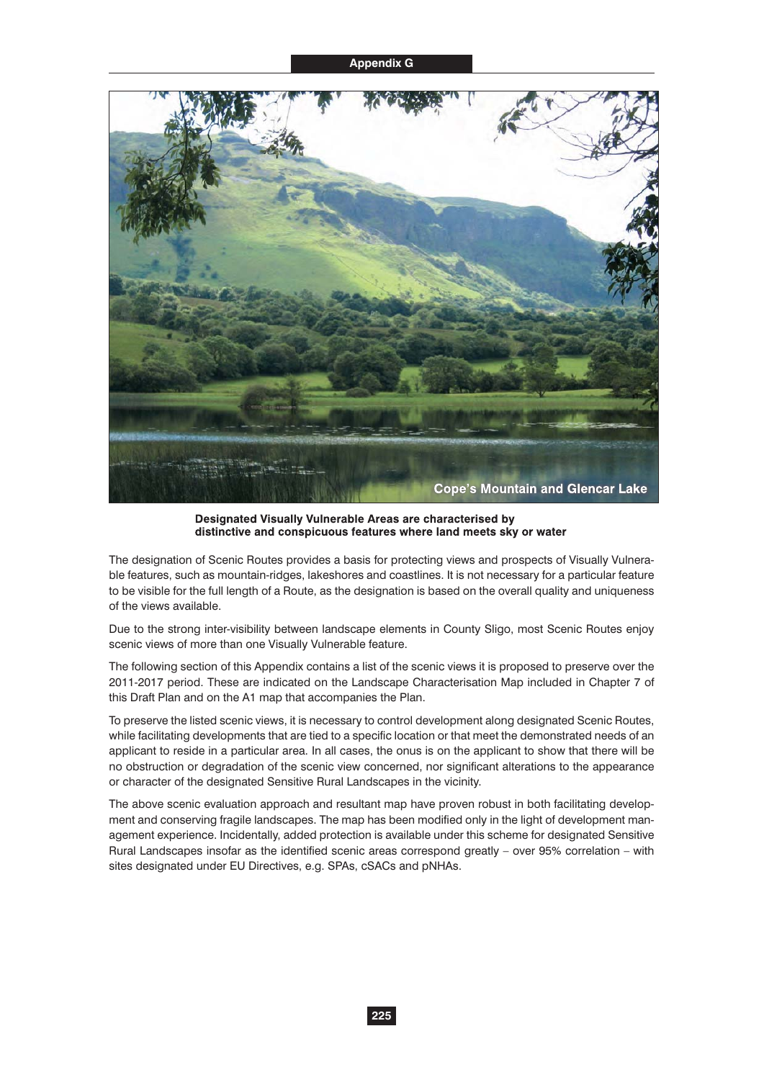

Designated Visually Vulnerable Areas are characterised by distinctive and conspicuous features where land meets sky or water

The designation of Scenic Routes provides a basis for protecting views and prospects of Visually Vulnerable features, such as mountain-ridges, lakeshores and coastlines. It is not necessary for a particular feature to be visible for the full length of a Route, as the designation is based on the overall quality and uniqueness of the views available.

Due to the strong inter-visibility between landscape elements in County Sligo, most Scenic Routes enjoy scenic views of more than one Visually Vulnerable feature.

The following section of this Appendix contains a list of the scenic views it is proposed to preserve over the 2011-2017 period. These are indicated on the Landscape Characterisation Map included in Chapter 7 of this Draft Plan and on the A1 map that accompanies the Plan.

To preserve the listed scenic views, it is necessary to control development along designated Scenic Routes, while facilitating developments that are tied to a specific location or that meet the demonstrated needs of an applicant to reside in a particular area. In all cases, the onus is on the applicant to show that there will be no obstruction or degradation of the scenic view concerned, nor significant alterations to the appearance or character of the designated Sensitive Rural Landscapes in the vicinity.

The above scenic evaluation approach and resultant map have proven robust in both facilitating development and conserving fragile landscapes. The map has been modified only in the light of development management experience. Incidentally, added protection is available under this scheme for designated Sensitive Rural Landscapes insofar as the identified scenic areas correspond greatly – over 95% correlation – with sites designated under EU Directives, e.g. SPAs, cSACs and pNHAs.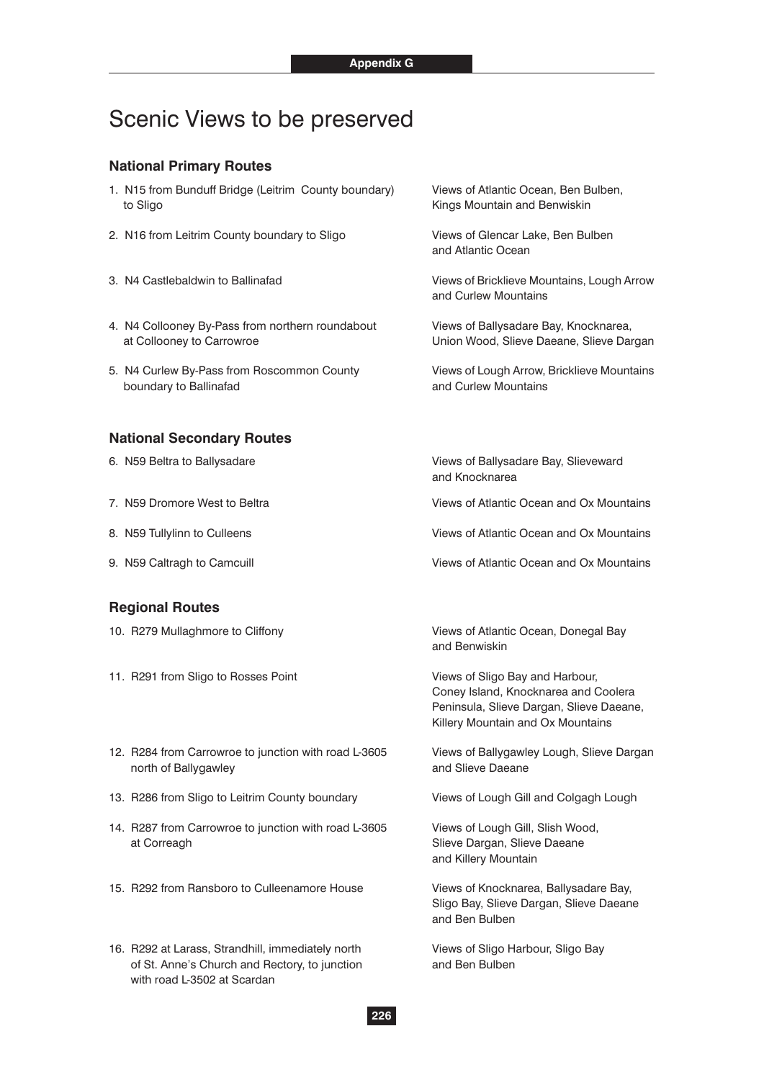# Scenic Views to be preserved

# **National Primary Routes**

- 1. N15 from Bunduff Bridge (Leitrim County boundary) Views of Atlantic Ocean, Ben Bulben, to Sligo **Kings Mountain and Benwiskin**
- 2. N16 from Leitrim County boundary to Sligo Views of Glencar Lake, Ben Bulben
- 
- 4. N4 Collooney By-Pass from northern roundabout Views of Ballysadare Bay, Knocknarea, at Collooney to Carrowroe Union Wood, Slieve Daeane, Slieve Dargan
- 5. N4 Curlew By-Pass from Roscommon County Views of Lough Arrow, Bricklieve Mountains boundary to Ballinafad and Curlew Mountains

#### **National Secondary Routes**

- 
- 
- 
- 

#### **Regional Routes**

- 
- 11. R291 from Sligo to Rosses Point Views of Sligo Bay and Harbour,
- 12. R284 from Carrowroe to junction with road L-3605 Views of Ballygawley Lough, Slieve Dargan north of Ballygawley **Accord 2018** and Slieve Daeane
- 13. R286 from Sligo to Leitrim County boundary Views of Lough Gill and Colgagh Lough
- 14. R287 from Carrowroe to junction with road L-3605 Views of Lough Gill, Slish Wood, at Correagh **Slieve Dargan, Slieve Daeane**
- 15. R292 from Ransboro to Culleenamore House Views of Knocknarea, Ballysadare Bay,
- 16. R292 at Larass, Strandhill, immediately north Views of Sligo Harbour, Sligo Bay of St. Anne's Church and Rectory, to junction and Ben Bulben with road L-3502 at Scardan

and Atlantic Ocean

3. N4 Castlebaldwin to Ballinafad Views of Bricklieve Mountains, Lough Arrow and Curlew Mountains

6. N59 Beltra to Ballysadare Views of Ballysadare Bay, Slieveward and Knocknarea

7. N59 Dromore West to Beltra Views of Atlantic Ocean and Ox Mountains

8. N59 Tullylinn to Culleens Views of Atlantic Ocean and Ox Mountains

9. N59 Caltragh to Camcuill Views of Atlantic Ocean and Ox Mountains

10. R279 Mullaghmore to Cliffony **Views of Atlantic Ocean, Donegal Bay** and Benwiskin

> Coney Island, Knocknarea and Coolera Peninsula, Slieve Dargan, Slieve Daeane, Killery Mountain and Ox Mountains

and Killery Mountain

 Sligo Bay, Slieve Dargan, Slieve Daeane and Ben Bulben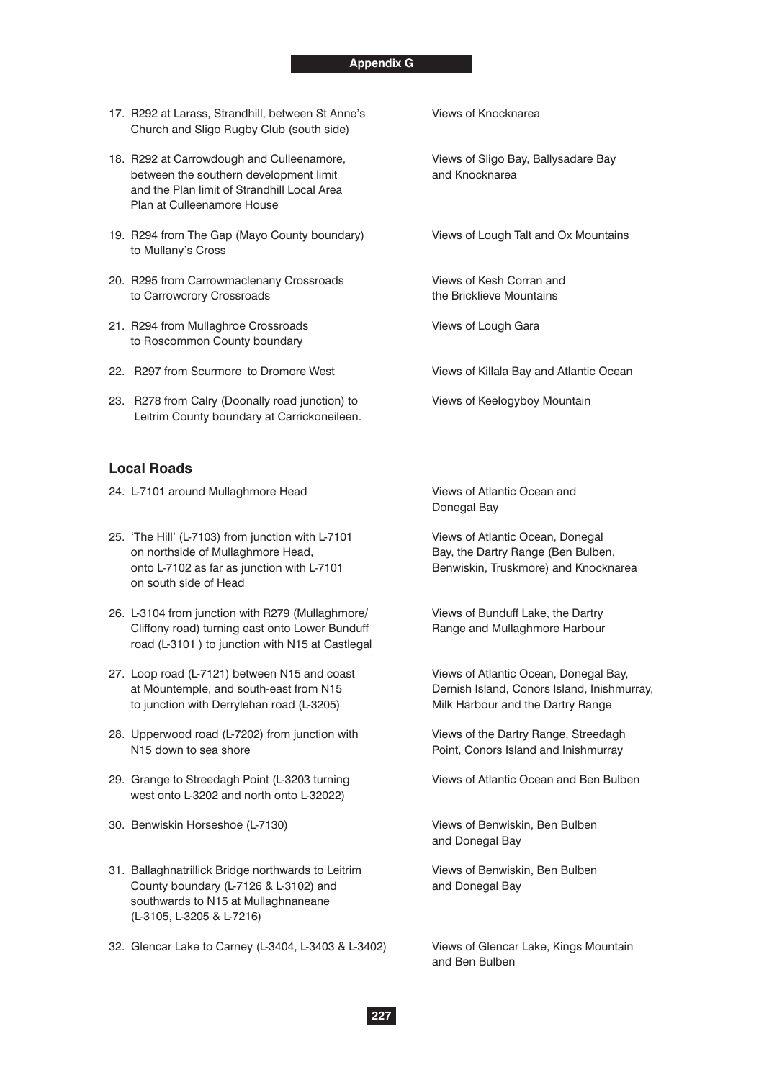- 17. R292 at Larass, Strandhill, between St Anne's Views of Knocknarea Church and Sligo Rugby Club (south side)
- 18. R292 at Carrowdough and Culleenamore, Views of Sligo Bay, Ballysadare Bay between the southern development limit and Knocknarea and the Plan limit of Strandhill Local Area Plan at Culleenamore House
- 19. R294 from The Gap (Mayo County boundary) Views of Lough Talt and Ox Mountains to Mullany's Cross
- 20. R295 from Carrowmaclenany Crossroads Views of Kesh Corran and to Carrowcrory Crossroads the Bricklieve Mountains
- 21. R294 from Mullaghroe Crossroads Views of Lough Gara to Roscommon County boundary
- 22. R297 from Scurmore to Dromore West Views of Killala Bay and Atlantic Ocean
- 23. R278 from Calry (Doonally road junction) to Views of Keelogyboy Mountain Leitrim County boundary at Carrickoneileen.

# **Local Roads**

- 24. L-7101 around Mullaghmore Head Views of Atlantic Ocean and
- 25. 'The Hill' (L-7103) from junction with L-7101 Views of Atlantic Ocean, Donegal on northside of Mullaghmore Head, Bay, the Dartry Range (Ben Bulben, onto L-7102 as far as junction with L-7101 Benwiskin, Truskmore) and Knocknarea on south side of Head
- 26. L-3104 from junction with R279 (Mullaghmore/ Views of Bunduff Lake, the Dartry Cliffony road) turning east onto Lower Bunduff Range and Mullaghmore Harbour road (L-3101 ) to junction with N15 at Castlegal
- 27. Loop road (L-7121) between N15 and coast Views of Atlantic Ocean, Donegal Bay, at Mountemple, and south-east from N15 Dernish Island, Conors Island, Inishmurray, to junction with Derrylehan road (L-3205) Milk Harbour and the Dartry Range
- 28. Upperwood road (L-7202) from junction with Views of the Dartry Range, Streedagh N15 down to sea shore **Point, Conors Island and Inishmurray** Point, Conors Island and Inishmurray
- 29. Grange to Streedagh Point (L-3203 turning Views of Atlantic Ocean and Ben Bulben west onto L-3202 and north onto L-32022)
- 30. Benwiskin Horseshoe (L-7130) Views of Benwiskin, Ben Bulben
- 31. Ballaghnatrillick Bridge northwards to Leitrim Views of Benwiskin, Ben Bulben County boundary (L-7126 & L-3102) and **Example 20** and Donegal Bay southwards to N15 at Mullaghnaneane (L-3105, L-3205 & L-7216)
- 32. Glencar Lake to Carney (L-3404, L-3403 & L-3402) Views of Glencar Lake, Kings Mountain

Donegal Bay

and Donegal Bay

and Ben Bulben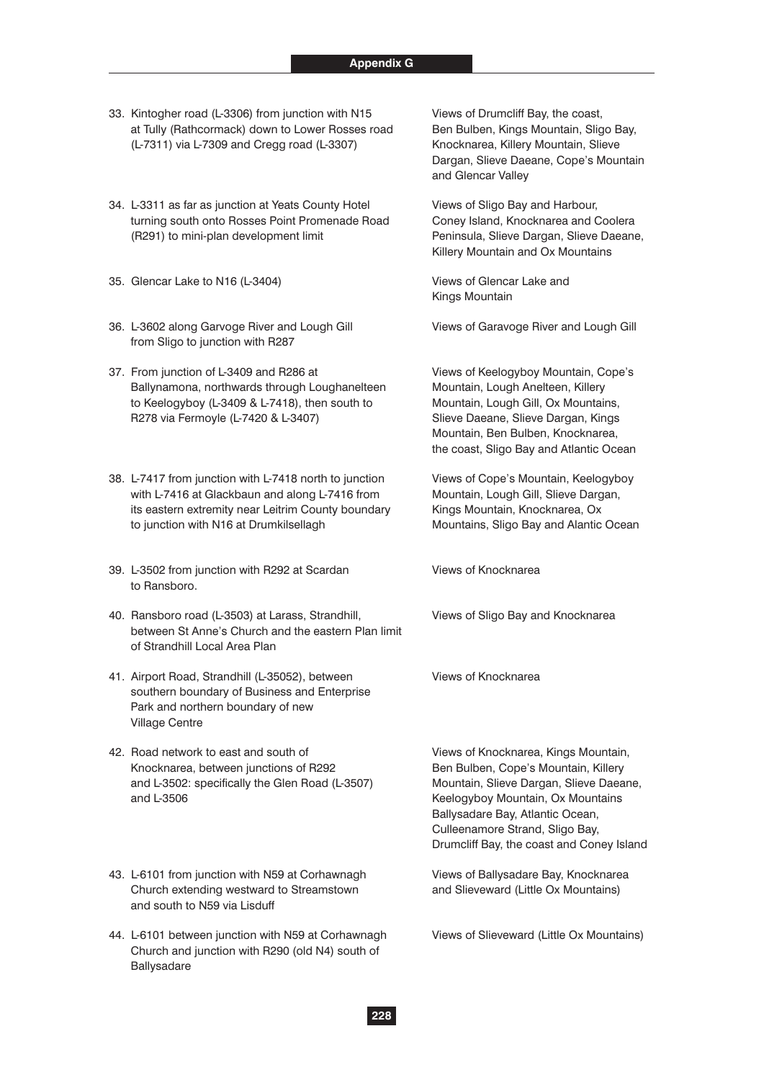- 33. Kintogher road (L-3306) from junction with N15 Views of Drumcliff Bay, the coast, at Tully (Rathcormack) down to Lower Rosses road Ben Bulben, Kings Mountain, Sligo Bay, (L-7311) via L-7309 and Cregg road (L-3307) Knocknarea, Killery Mountain, Slieve
- 34. L-3311 as far as junction at Yeats County Hotel Views of Sligo Bay and Harbour, turning south onto Rosses Point Promenade Road Coney Island, Knocknarea and Coolera (R291) to mini-plan development limit Peninsula, Slieve Dargan, Slieve Daeane,
- 35. Glencar Lake to N16 (L-3404) Views of Glencar Lake and
- 36. L-3602 along Garvoge River and Lough Gill Views of Garavoge River and Lough Gill from Sligo to junction with R287
- 37. From junction of L-3409 and R286 at Views of Keelogyboy Mountain, Cope's Ballynamona, northwards through Loughanelteen Mountain, Lough Anelteen, Killery to Keelogyboy (L-3409 & L-7418), then south to Mountain, Lough Gill, Ox Mountains, R278 via Fermoyle (L-7420 & L-3407) Slieve Daeane, Slieve Dargan, Kings
- 38. L-7417 from junction with L-7418 north to junction Views of Cope's Mountain, Keelogyboy with L-7416 at Glackbaun and along L-7416 from Mountain, Lough Gill, Slieve Dargan, its eastern extremity near Leitrim County boundary Kings Mountain, Knocknarea, Ox to junction with N16 at Drumkilsellagh Mountains, Sligo Bay and Alantic Ocean
- 39. L-3502 from junction with R292 at Scardan Views of Knocknarea to Ransboro.
- 40. Ransboro road (L-3503) at Larass, Strandhill, Views of Sligo Bay and Knocknarea between St Anne's Church and the eastern Plan limit of Strandhill Local Area Plan
- 41. Airport Road, Strandhill (L-35052), between Views of Knocknarea southern boundary of Business and Enterprise Park and northern boundary of new Village Centre
- 42. Road network to east and south of Views of Knocknarea, Kings Mountain, Knocknarea, between junctions of R292 Ben Bulben, Cope's Mountain, Killery and L-3502: specifically the Glen Road (L-3507) Mountain, Slieve Dargan, Slieve Daeane, and L-3506 Keelogyboy Mountain, Ox Mountains
- 43. L-6101 from junction with N59 at Corhawnagh Views of Ballysadare Bay, Knocknarea Church extending westward to Streamstown and Slieveward (Little Ox Mountains) and south to N59 via Lisduff
- 44. L-6101 between junction with N59 at Corhawnagh Views of Slieveward (Little Ox Mountains) Church and junction with R290 (old N4) south of **Ballysadare**

 Dargan, Slieve Daeane, Cope's Mountain and Glencar Valley

Killery Mountain and Ox Mountains

Kings Mountain

 Mountain, Ben Bulben, Knocknarea, the coast, Sligo Bay and Atlantic Ocean

 Ballysadare Bay, Atlantic Ocean, Culleenamore Strand, Sligo Bay, Drumcliff Bay, the coast and Coney Island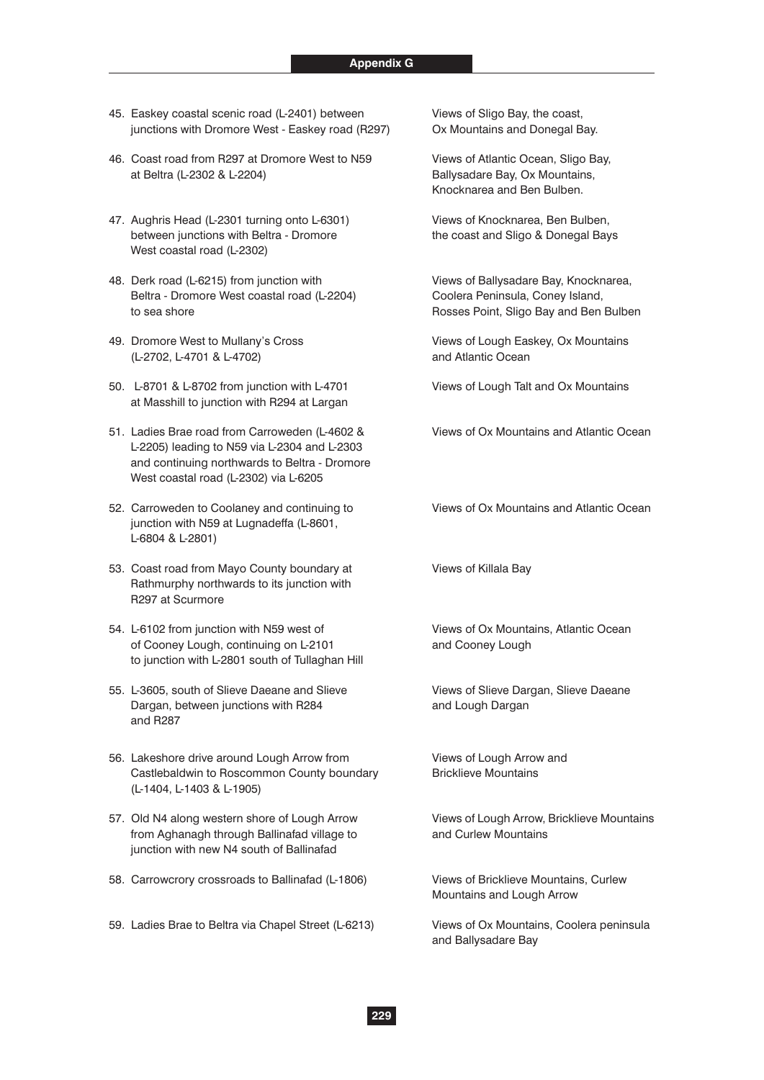- 45. Easkey coastal scenic road (L-2401) between Views of Sligo Bay, the coast, junctions with Dromore West - Easkey road (R297) Ox Mountains and Donegal Bay.
- 46. Coast road from R297 at Dromore West to N59 Views of Atlantic Ocean, Sligo Bay, at Beltra (L-2302 & L-2204) Ballysadare Bay, Ox Mountains,
- 47. Aughris Head (L-2301 turning onto L-6301) Views of Knocknarea, Ben Bulben, between junctions with Beltra - Dromore the coast and Sligo & Donegal Bays West coastal road (L-2302)
- 48. Derk road (L-6215) from junction with Views of Ballysadare Bay, Knocknarea, Beltra - Dromore West coastal road (L-2204) Coolera Peninsula, Coney Island, to sea shore **Rosses Point, Sligo Bay and Ben Bulben** Rosses Point, Sligo Bay and Ben Bulben
- 49. Dromore West to Mullany's Cross Views of Lough Easkey, Ox Mountains (L-2702, L-4701 & L-4702) and Atlantic Ocean
- 50. L-8701 & L-8702 from junction with L-4701 Views of Lough Talt and Ox Mountains at Masshill to junction with R294 at Largan
- 51. Ladies Brae road from Carroweden (L-4602 & Views of Ox Mountains and Atlantic Ocean L-2205) leading to N59 via L-2304 and L-2303 and continuing northwards to Beltra - Dromore West coastal road (L-2302) via L-6205
- 52. Carroweden to Coolaney and continuing to Views of Ox Mountains and Atlantic Ocean junction with N59 at Lugnadeffa (L-8601, L-6804 & L-2801)
- 53. Coast road from Mayo County boundary at Views of Killala Bay Rathmurphy northwards to its junction with R297 at Scurmore
- 54. L-6102 from junction with N59 west of Views of Ox Mountains, Atlantic Ocean of Cooney Lough, continuing on L-2101 and Cooney Lough to junction with L-2801 south of Tullaghan Hill
- 55. L-3605, south of Slieve Daeane and Slieve Views of Slieve Dargan, Slieve Daeane Dargan, between junctions with R284 and Lough Dargan and R287
- 56. Lakeshore drive around Lough Arrow from Views of Lough Arrow and Castlebaldwin to Roscommon County boundary Bricklieve Mountains (L-1404, L-1403 & L-1905)
- 57. Old N4 along western shore of Lough Arrow Views of Lough Arrow, Bricklieve Mountains from Aghanagh through Ballinafad village to and Curlew Mountains junction with new N4 south of Ballinafad
- 58. Carrowcrory crossroads to Ballinafad (L-1806) Views of Bricklieve Mountains, Curlew
- 59. Ladies Brae to Beltra via Chapel Street (L-6213) Views of Ox Mountains, Coolera peninsula

Knocknarea and Ben Bulben.

Mountains and Lough Arrow

and Ballysadare Bay